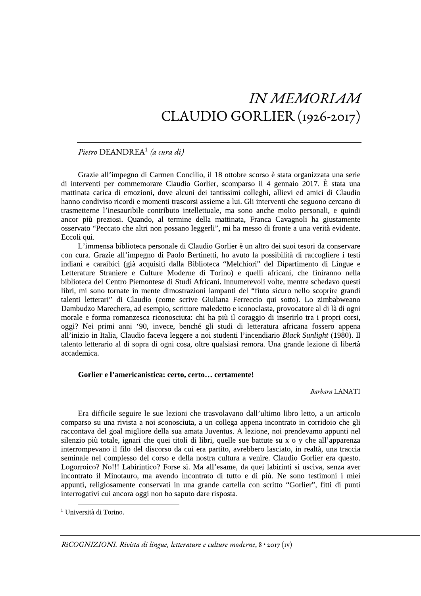# *IN MEMORIAM* CLAUDIO GORLIER (1926-2017)

# Pietro DEANDREA<sup>1</sup> (a cura di)

Grazie all'impegno di Carmen Concilio, il 18 ottobre scorso è stata organizzata una serie di interventi per commemorare Claudio Gorlier, scomparso il 4 gennaio 2017. È stata una mattinata carica di emozioni, dove alcuni dei tantissimi colleghi, allievi ed amici di Claudio hanno condiviso ricordi e momenti trascorsi assieme a lui. Gli interventi che seguono cercano di trasmetterne l'inesauribile contributo intellettuale, ma sono anche molto personali, e quindi ancor più preziosi. Quando, al termine della mattinata, Franca Cavagnoli ha giustamente osservato "Peccato che altri non possano leggerli", mi ha messo di fronte a una verità evidente. Eccoli qui.

L'immensa biblioteca personale di Claudio Gorlier è un altro dei suoi tesori da conservare con cura. Grazie all'impegno di Paolo Bertinetti, ho avuto la possibilità di raccogliere i testi indiani e caraibici (già acquisiti dalla Biblioteca "Melchiori" del Dipartimento di Lingue e Letterature Straniere e Culture Moderne di Torino) e quelli africani, che finiranno nella biblioteca del Centro Piemontese di Studi Africani. Innumerevoli volte, mentre schedavo questi libri, mi sono tornate in mente dimostrazioni lampanti del "fiuto sicuro nello scoprire grandi talenti letterari" di Claudio (come scrive Giuliana Ferreccio qui sotto). Lo zimbabweano Dambudzo Marechera, ad esempio, scrittore maledetto e iconoclasta, provocatore al di là di ogni morale e forma romanzesca riconosciuta: chi ha più il coraggio di inserirlo tra i propri corsi, oggi? Nei primi anni '90, invece, benché gli studi di letteratura africana fossero appena all'inizio in Italia, Claudio faceva leggere a noi studenti l'incendiario Black Sunlight (1980). Il talento letterario al di sopra di ogni cosa, oltre qualsiasi remora. Una grande lezione di libertà accademica.

#### Gorlier e l'americanistica: certo, certo... certamente!

Barbara LANATI

Era difficile seguire le sue lezioni che trasvolavano dall'ultimo libro letto, a un articolo comparso su una rivista a noi sconosciuta, a un collega appena incontrato in corridoio che gli raccontava del goal migliore della sua amata Juventus. A lezione, noi prendevamo appunti nel silenzio più totale, ignari che quei titoli di libri, quelle sue battute su x o y che all'apparenza interrompevano il filo del discorso da cui era partito, avrebbero lasciato, in realtà, una traccia seminale nel complesso del corso e della nostra cultura a venire. Claudio Gorlier era questo. Logorroico? No!!! Labirintico? Forse sì. Ma all'esame, da quei labirinti si usciva, senza aver incontrato il Minotauro, ma avendo incontrato di tutto e di più. Ne sono testimoni i miei appunti, religiosamente conservati in una grande cartella con scritto "Gorlier", fitti di punti interrogativi cui ancora oggi non ho saputo dare risposta.

RiCOGNIZIONI. Rivista di lingue, letterature e culture moderne,  $8 \cdot 2017$  (IV)

<sup>&</sup>lt;sup>1</sup> Università di Torino.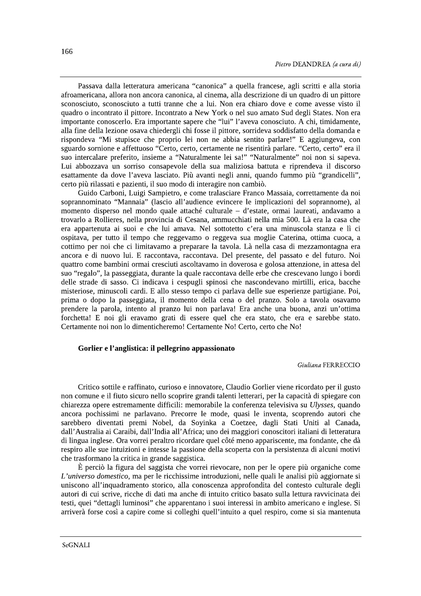Passava dalla letteratura americana "canonica" a quella francese, agli scritti e alla storia afroamericana, allora non ancora canonica, al cinema, alla descrizione di un quadro di un pittore sconosciuto, sconosciuto a tutti tranne che a lui. Non era chiaro dove e come avesse visto il quadro o incontrato il pittore. Incontrato a New York o nel suo amato Sud degli States. Non era importante conoscerlo. Era importante sapere che "lui" l'aveva conosciuto. A chi, timidamente, alla fine della lezione osava chiedergli chi fosse il pittore, sorrideva soddisfatto della domanda e rispondeva "Mi stupisce che proprio lei non ne abbia sentito parlare!" E aggiungeva, con sguardo sornione e affettuoso "Certo, certo, certamente ne risentirà parlare. "Certo, certo" era il suo intercalare preferito, insieme a "Naturalmente lei sa!" "Naturalmente" noi non si sapeva. Lui abbozzava un sorriso consapevole della sua maliziosa battuta e riprendeva il discorso esattamente da dove l'aveva lasciato. Più avanti negli anni, quando fummo più "grandicelli", certo più rilassati e pazienti, il suo modo di interagire non cambiò.

Guido Carboni, Luigi Sampietro, e come tralasciare Franco Massaia, correttamente da noi soprannominato "Mannaia" (lascio all'audience evincere le implicazioni del soprannome), al momento disperso nel mondo quale attaché culturale - d'estate, ormai laureati, andavamo a trovarlo a Rollieres, nella provincia di Cesana, ammucchiati nella mia 500. Là era la casa che era appartenuta ai suoi e che lui amava. Nel sottotetto c'era una minuscola stanza e lì ci ospitava, per tutto il tempo che reggevamo o reggeva sua moglie Caterina, ottima cuoca, a cottimo per noi che ci limitavamo a preparare la tavola. Là nella casa di mezzamontagna era ancora e di nuovo lui. E raccontava, raccontava. Del presente, del passato e del futuro. Noi quattro come bambini ormai cresciuti ascoltavamo in doverosa e golosa attenzione, in attesa del suo "regalo", la passeggiata, durante la quale raccontava delle erbe che crescevano lungo i bordi delle strade di sasso. Ci indicava i cespugli spinosi che nascondevano mirtilli, erica, bacche misteriose, minuscoli cardi. E allo stesso tempo ci parlava delle sue esperienze partigiane. Poi, prima o dopo la passeggiata, il momento della cena o del pranzo. Solo a tavola osavamo prendere la parola, intento al pranzo lui non parlava! Era anche una buona, anzi un'ottima forchetta! E noi gli eravamo grati di essere quel che era stato, che era e sarebbe stato. Certamente noi non lo dimenticheremo! Certamente No! Certo, certo che No!

### Gorlier e l'anglistica: il pellegrino appassionato

#### Giuliana FERRECCIO

Critico sottile e raffinato, curioso e innovatore, Claudio Gorlier viene ricordato per il gusto non comune e il fiuto sicuro nello scoprire grandi talenti letterari, per la capacità di spiegare con chiarezza opere estremamente difficili: memorabile la conferenza televisiva su Ulysses, quando ancora pochissimi ne parlavano. Precorre le mode, quasi le inventa, scoprendo autori che sarebbero diventati premi Nobel, da Sovinka a Coetzee, dagli Stati Uniti al Canada, dall'Australia ai Caraibi, dall'India all'Africa; uno dei maggiori conoscitori italiani di letteratura di lingua inglese. Ora vorrei peraltro ricordare quel côté meno appariscente, ma fondante, che dà respiro alle sue intuizioni e intesse la passione della scoperta con la persistenza di alcuni motivi che trasformano la critica in grande saggistica.

È perciò la figura del saggista che vorrei rievocare, non per le opere più organiche come L'universo domestico, ma per le ricchissime introduzioni, nelle quali le analisi più aggiornate si uniscono all'inquadramento storico, alla conoscenza approfondita del contesto culturale degli autori di cui scrive, ricche di dati ma anche di intuito critico basato sulla lettura ravvicinata dei testi, quei "dettagli luminosi" che apparentano i suoi interessi in ambito americano e inglese. Si arriverà forse così a capire come si colleghi quell'intuito a quel respiro, come si sia mantenuta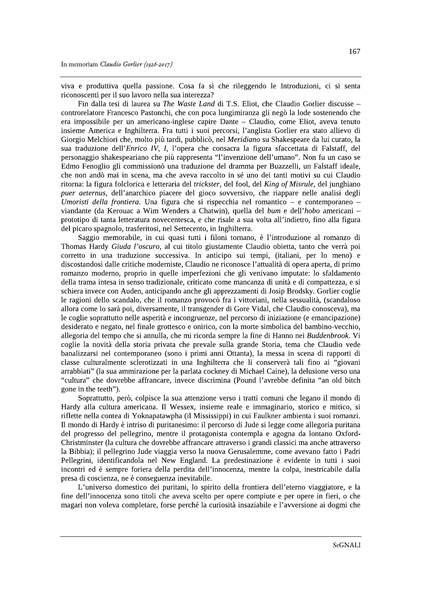viva e produttiva quella passione. Cosa fa sì che rileggendo le Introduzioni, ci si senta riconoscenti per il suo lavoro nella sua interezza?

Fin dalla tesi di laurea su The Waste Land di T.S. Eliot, che Claudio Gorlier discusse controrelatore Francesco Pastonchi, che con poca lungimiranza gli negò la lode sostenendo che era impossibile per un americano-inglese capire Dante – Claudio, come Eliot, aveva tenuto insieme America e Inghilterra. Fra tutti i suoi percorsi, l'anglista Gorlier era stato allievo di Giorgio Melchiori che, molto più tardi, pubblicò, nel Meridiano su Shakespeare da lui curato, la sua traduzione dell'Enrico IV, I, l'opera che consacra la figura sfaccettata di Falstaff, del personaggio shakespeariano che più rappresenta "l'invenzione dell'umano". Non fu un caso se Edmo Fenoglio gli commissionò una traduzione del dramma per Buazzelli, un Falstaff ideale, che non andò mai in scena, ma che aveva raccolto in sé uno dei tanti motivi su cui Claudio ritorna: la figura folclorica e letteraria del trickster, del fool, del King of Misrule, del junghiano puer aeternus, dell'anarchico piacere del gioco sovversivo, che riappare nelle analisi degli Umoristi della frontiera. Una figura che si rispecchia nel romantico – e contemporaneo – viandante (da Kerouac a Wim Wenders a Chatwin), quella del bum e dell'hobo americani prototipo di tanta letteratura novecentesca, e che risale a sua volta all'indietro, fino alla figura del picaro spagnolo, trasferitosi, nel Settecento, in Inghilterra.

Saggio memorabile, in cui quasi tutti i filoni tornano, è l'introduzione al romanzo di Thomas Hardy Giuda l'oscuro, al cui titolo giustamente Claudio obietta, tanto che verrà poi corretto in una traduzione successiva. In anticipo sui tempi, (italiani, per lo meno) e discostandosi dalle critiche moderniste, Claudio ne riconosce l'attualità di opera aperta, di primo romanzo moderno, proprio in quelle imperfezioni che gli venivano imputate: lo sfaldamento della trama intesa in senso tradizionale, criticato come mancanza di unità e di compattezza, e si schiera invece con Auden, anticipando anche gli apprezzamenti di Josip Brodsky. Gorlier coglie le ragioni dello scandalo, che il romanzo provocò fra i vittoriani, nella sessualità, (scandaloso allora come lo sarà poi, diversamente, il transgender di Gore Vidal, che Claudio conosceva), ma le coglie soprattutto nelle asperità e incongruenze, nel percorso di iniziazione (e emancipazione) desiderato e negato, nel finale grottesco e onirico, con la morte simbolica del bambino-vecchio, allegoria del tempo che si annulla, che mi ricorda sempre la fine di Hanno nei Buddenbrook. Vi coglie la novità della storia privata che prevale sulla grande Storia, tema che Claudio vede banalizzarsi nel contemporaneo (sono i primi anni Ottanta), la messa in scena di rapporti di classe culturalmente sclerotizzati in una Inghilterra che li conserverà tali fino ai "giovani arrabbiati" (la sua ammirazione per la parlata cockney di Michael Caine), la delusione verso una "cultura" che dovrebbe affrancare, invece discrimina (Pound l'avrebbe definita "an old bitch gone in the teeth").

Soprattutto, però, colpisce la sua attenzione verso i tratti comuni che legano il mondo di Hardy alla cultura americana. Il Wessex, insieme reale e immaginario, storico e mitico, si riflette nella contea di Yoknapatawpha (il Mississippi) in cui Faulkner ambienta i suoi romanzi. Il mondo di Hardy è intriso di puritanesimo: il percorso di Jude si legge come allegoria puritana del progresso del pellegrino, mentre il protagonista contempla e agogna da lontano Oxford-Christminster (la cultura che dovrebbe affrancare attraverso i grandi classici ma anche attraverso la Bibbia); il pellegrino Jude viaggia verso la nuova Gerusalemme, come avevano fatto i Padri Pellegrini, identificandola nel New England. La predestinazione è evidente in tutti i suoi incontri ed è sempre foriera della perdita dell'innocenza, mentre la colpa, inestricabile dalla presa di coscienza, ne è conseguenza inevitabile.

L'universo domestico dei puritani, lo spirito della frontiera dell'eterno viaggiatore, e la fine dell'innocenza sono titoli che aveva scelto per opere compiute e per opere in fieri, o che magari non voleva completare, forse perché la curiosità insaziabile e l'avversione ai dogmi che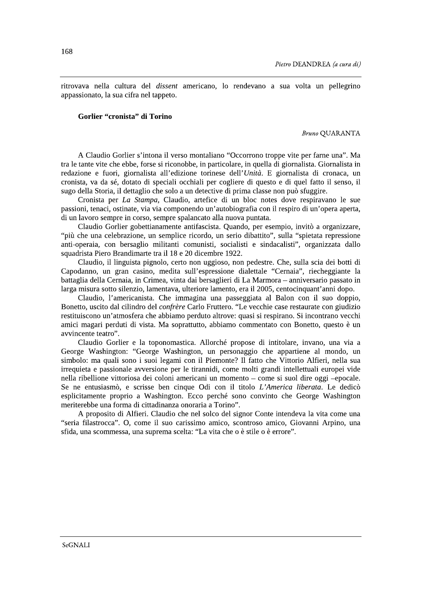ritrovava nella cultura del dissent americano, lo rendevano a sua volta un pellegrino appassionato, la sua cifra nel tappeto.

#### Gorlier "cronista" di Torino

**Bruno QUARANTA** 

A Claudio Gorlier s'intona il verso montaliano "Occorrono troppe vite per farne una". Ma tra le tante vite che ebbe, forse si riconobbe, in particolare, in quella di giornalista. Giornalista in redazione e fuori, giornalista all'edizione torinese dell'Unità. E giornalista di cronaca, un cronista, va da sé, dotato di speciali occhiali per cogliere di questo e di quel fatto il senso, il sugo della Storia, il dettaglio che solo a un detective di prima classe non può sfuggire.

Cronista per La Stampa, Claudio, artefice di un bloc notes dove respiravano le sue passioni, tenaci, ostinate, via via componendo un'autobiografia con il respiro di un'opera aperta, di un lavoro sempre in corso, sempre spalancato alla nuova puntata.

Claudio Gorlier gobettianamente antifascista. Quando, per esempio, invitò a organizzare, "più che una celebrazione, un semplice ricordo, un serio dibattito", sulla "spietata repressione anti-operaia, con bersaglio militanti comunisti, socialisti e sindacalisti", organizzata dallo squadrista Piero Brandimarte tra il 18 e 20 dicembre 1922.

Claudio, il linguista pignolo, certo non uggioso, non pedestre. Che, sulla scia dei botti di Capodanno, un gran casino, medita sull'espressione dialettale "Cernaia", riecheggiante la battaglia della Cernaia, in Crimea, vinta dai bersaglieri di La Marmora – anniversario passato in larga misura sotto silenzio, lamentava, ulteriore lamento, era il 2005, centocinquant'anni dopo.

Claudio, l'americanista. Che immagina una passeggiata al Balon con il suo doppio, Bonetto, uscito dal cilindro del *confrère* Carlo Fruttero. "Le vecchie case restaurate con giudizio restituiscono un'atmosfera che abbiamo perduto altrove: quasi si respirano. Si incontrano vecchi amici magari perduti di vista. Ma soprattutto, abbiamo commentato con Bonetto, questo è un avvincente teatro".

Claudio Gorlier e la toponomastica. Allorché propose di intitolare, invano, una via a George Washington: "George Washington, un personaggio che appartiene al mondo, un simbolo: ma quali sono i suoi legami con il Piemonte? Il fatto che Vittorio Alfieri, nella sua irrequieta e passionale avversione per le tirannidi, come molti grandi intellettuali europei vide nella ribellione vittoriosa dei coloni americani un momento – come si suol dire oggi –epocale. Se ne entusiasmò, e scrisse ben cinque Odi con il titolo L'America liberata. Le dedicò esplicitamente proprio a Washington. Ecco perché sono convinto che George Washington meriterebbe una forma di cittadinanza onoraria a Torino".

A proposito di Alfieri. Claudio che nel solco del signor Conte intendeva la vita come una "seria filastrocca". O, come il suo carissimo amico, scontroso amico, Giovanni Arpino, una sfida, una scommessa, una suprema scelta: "La vita che o è stile o è errore".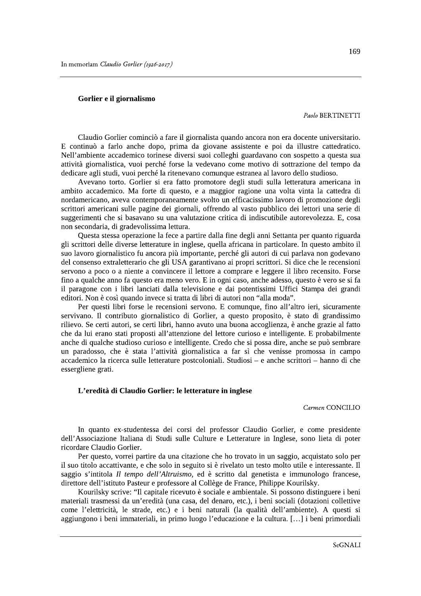#### Gorlier e il giornalismo

Paolo BERTINETTI

Claudio Gorlier cominciò a fare il giornalista quando ancora non era docente universitario. E continuò a farlo anche dopo, prima da giovane assistente e poi da illustre cattedratico. Nell'ambiente accademico torinese diversi suoi colleghi guardavano con sospetto a questa sua attività giornalistica, vuoi perché forse la vedevano come motivo di sottrazione del tempo da dedicare agli studi, vuoi perché la ritenevano comunque estranea al lavoro dello studioso.

Avevano torto. Gorlier si era fatto promotore degli studi sulla letteratura americana in ambito accademico. Ma forte di questo, e a maggior ragione una volta vinta la cattedra di nordamericano, aveva contemporaneamente svolto un efficacissimo lavoro di promozione degli scrittori americani sulle pagine dei giornali, offrendo al vasto pubblico dei lettori una serie di suggerimenti che si basavano su una valutazione critica di indiscutibile autorevolezza. E, cosa non secondaria, di gradevolissima lettura.

Questa stessa operazione la fece a partire dalla fine degli anni Settanta per quanto riguarda gli scrittori delle diverse letterature in inglese, quella africana in particolare. In questo ambito il suo lavoro giornalistico fu ancora più importante, perché gli autori di cui parlava non godevano del consenso extraletterario che gli USA garantivano ai propri scrittori. Si dice che le recensioni servono a poco o a niente a convincere il lettore a comprare e leggere il libro recensito. Forse fino a qualche anno fa questo era meno vero. E in ogni caso, anche adesso, questo è vero se si fa il paragone con i libri lanciati dalla televisione e dai potentissimi Uffici Stampa dei grandi editori. Non è così quando invece si tratta di libri di autori non "alla moda".

Per questi libri forse le recensioni servono. E comunque, fino all'altro ieri, sicuramente servivano. Il contributo giornalistico di Gorlier, a questo proposito, è stato di grandissimo rilievo. Se certi autori, se certi libri, hanno avuto una buona accoglienza, è anche grazie al fatto che da lui erano stati proposti all'attenzione del lettore curioso e intelligente. E probabilmente anche di qualche studioso curioso e intelligente. Credo che si possa dire, anche se può sembrare un paradosso, che è stata l'attività giornalistica a far sì che venisse promossa in campo accademico la ricerca sulle letterature postcoloniali. Studiosi – e anche scrittori – hanno di che essergliene grati.

### L'eredità di Claudio Gorlier: le letterature in inglese

Carmen CONCILIO

In quanto ex-studentessa dei corsi del professor Claudio Gorlier, e come presidente dell'Associazione Italiana di Studi sulle Culture e Letterature in Inglese, sono lieta di poter ricordare Claudio Gorlier.

Per questo, vorrei partire da una citazione che ho trovato in un saggio, acquistato solo per il suo titolo accattivante, e che solo in seguito si è rivelato un testo molto utile e interessante. Il saggio s'intitola Il tempo dell'Altruismo, ed è scritto dal genetista e immunologo francese, direttore dell'istituto Pasteur e professore al Collège de France, Philippe Kourilsky.

Kourilsky scrive: "Il capitale ricevuto è sociale e ambientale. Si possono distinguere i beni materiali trasmessi da un'eredità (una casa, del denaro, etc.), i beni sociali (dotazioni collettive come l'elettricità, le strade, etc.) e i beni naturali (la qualità dell'ambiente). A questi si aggiungono i beni immateriali, in primo luogo l'educazione e la cultura. [...] i beni primordiali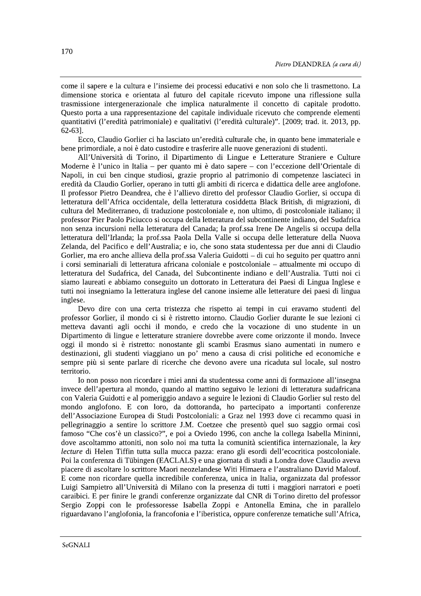come il sapere e la cultura e l'insieme dei processi educativi e non solo che li trasmettono. La dimensione storica e orientata al futuro del capitale ricevuto impone una riflessione sulla trasmissione intergenerazionale che implica naturalmente il concetto di capitale prodotto. Questo porta a una rappresentazione del capitale individuale ricevuto che comprende elementi quantitativi (l'eredità patrimoniale) e qualitativi (l'eredità culturale)". [2009; trad. it. 2013, pp. 62-631.

Ecco, Claudio Gorlier ci ha lasciato un'eredità culturale che, in quanto bene immateriale e bene primordiale, a noi è dato custodire e trasferire alle nuove generazioni di studenti.

All'Università di Torino, il Dipartimento di Lingue e Letterature Straniere e Culture Moderne è l'unico in Italia – per quanto mi è dato sapere – con l'eccezione dell'Orientale di Napoli, in cui ben cinque studiosi, grazie proprio al patrimonio di competenze lasciateci in eredità da Claudio Gorlier, operano in tutti gli ambiti di ricerca e didattica delle aree anglofone. Il professor Pietro Deandrea, che è l'allievo diretto del professor Claudio Gorlier, si occupa di letteratura dell'Africa occidentale, della letteratura cosiddetta Black British, di migrazioni, di cultura del Mediterraneo, di traduzione postcoloniale e, non ultimo, di postcoloniale italiano; il professor Pier Paolo Piciucco si occupa della letteratura del subcontinente indiano, del Sudafrica non senza incursioni nella letteratura del Canada; la prof.ssa Irene De Angelis si occupa della letteratura dell'Irlanda; la prof.ssa Paola Della Valle si occupa delle letterature della Nuova Zelanda, del Pacifico e dell'Australia; e io, che sono stata studentessa per due anni di Claudio Gorlier, ma ero anche allieva della prof.ssa Valeria Guidotti – di cui ho seguito per quattro anni i corsi seminariali di letteratura africana coloniale e postcoloniale – attualmente mi occupo di letteratura del Sudafrica, del Canada, del Subcontinente indiano e dell'Australia. Tutti noi ci siamo laureati e abbiamo conseguito un dottorato in Letteratura dei Paesi di Lingua Inglese e tutti noi insegniamo la letteratura inglese del canone insieme alle letterature dei paesi di lingua inglese.

Devo dire con una certa tristezza che rispetto ai tempi in cui eravamo studenti del professor Gorlier, il mondo ci si è ristretto intorno. Claudio Gorlier durante le sue lezioni ci metteva davanti agli occhi il mondo, e credo che la vocazione di uno studente in un Dipartimento di lingue e letterature straniere dovrebbe avere come orizzonte il mondo. Invece oggi il mondo si è ristretto: nonostante gli scambi Erasmus siano aumentati in numero e destinazioni, gli studenti viaggiano un po<sup>2</sup> meno a causa di crisi politiche ed economiche e sempre più si sente parlare di ricerche che devono avere una ricaduta sul locale, sul nostro territorio.

Io non posso non ricordare i miei anni da studentessa come anni di formazione all'insegna invece dell'apertura al mondo, quando al mattino seguivo le lezioni di letteratura sudafricana con Valeria Guidotti e al pomeriggio andavo a seguire le lezioni di Claudio Gorlier sul resto del mondo anglofono. E con loro, da dottoranda, ho partecipato a importanti conferenze dell'Associazione Europea di Studi Postcoloniali: a Graz nel 1993 dove ci recammo quasi in pellegrinaggio a sentire lo scrittore J.M. Coetzee che presentò quel suo saggio ormai così famoso "Che cos'è un classico?", e poi a Oviedo 1996, con anche la collega Isabella Mininni, dove ascoltammo attoniti, non solo noi ma tutta la comunità scientifica internazionale, la key lecture di Helen Tiffin tutta sulla mucca pazza: erano gli esordi dell'ecocritica postcoloniale. Poi la conferenza di Tübingen (EACLALS) e una giornata di studi a Londra dove Claudio aveva piacere di ascoltare lo scrittore Maori neozelandese Witi Himaera e l'australiano David Malouf. E come non ricordare quella incredibile conferenza, unica in Italia, organizzata dal professor Luigi Sampietro all'Università di Milano con la presenza di tutti i maggiori narratori e poeti caraibici. E per finire le grandi conferenze organizzate dal CNR di Torino diretto del professor Sergio Zoppi con le professoresse Isabella Zoppi e Antonella Emina, che in parallelo riguardavano l'anglofonia, la francofonia e l'iberistica, oppure conferenze tematiche sull'Africa,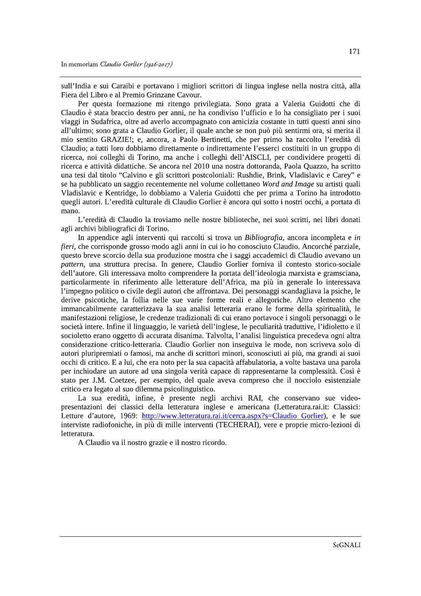sull'India e sui Caraibi e portavano i migliori scrittori di lingua inglese nella nostra città, alla Fiera del Libro e al Premio Grinzane Cavour.

Per questa formazione mi ritengo privilegiata. Sono grata a Valeria Guidotti che di Claudio è stata braccio destro per anni, ne ha condiviso l'ufficio e lo ha consigliato per i suoi viaggi in Sudafrica, oltre ad averlo accompagnato con amicizia costante in tutti questi anni sino all'ultimo; sono grata a Claudio Gorlier, il quale anche se non può più sentirmi ora, si merita il mio sentito GRAZIE!; e, ancora, a Paolo Bertinetti, che per primo ha raccolto l'eredità di Claudio; a tutti loro dobbiamo direttamente o indirettamente l'esserci costituiti in un gruppo di ricerca, noi colleghi di Torino, ma anche i colleghi dell'AISCLI, per condividere progetti di ricerca e attività didattiche. Se ancora nel 2010 una nostra dottoranda, Paola Quazzo, ha scritto una tesi dal titolo "Calvino e gli scrittori postcoloniali: Rushdie, Brink, Vladislavic e Carey" e se ha pubblicato un saggio recentemente nel volume collettaneo Word and Image su artisti quali Vladislavic e Kentridge, lo dobbiamo a Valeria Guidotti che per prima a Torino ha introdotto quegli autori. L'eredità culturale di Claudio Gorlier è ancora qui sotto i nostri occhi, a portata di mano.

L'eredità di Claudio la troviamo nelle nostre biblioteche, nei suoi scritti, nei libri donati agli archivi bibliografici di Torino.

In appendice agli interventi qui raccolti si trova un Bibliografia, ancora incompleta e in fieri, che corrisponde grosso modo agli anni in cui io ho conosciuto Claudio. Ancorché parziale, questo breve scorcio della sua produzione mostra che i saggi accademici di Claudio avevano un pattern, una struttura precisa. In genere, Claudio Gorlier forniva il contesto storico-sociale dell'autore. Gli interessava molto comprendere la portata dell'ideologia marxista e gramsciana, particolarmente in riferimento alle letterature dell'Africa, ma più in generale lo interessava l'impegno politico o civile degli autori che affrontava. Dei personaggi scandagliava la psiche, le derive psicotiche, la follia nelle sue varie forme reali e allegoriche. Altro elemento che immancabilmente caratterizzava la sua analisi letteraria erano le forme della spiritualità, le manifestazioni religiose, le credenze tradizionali di cui erano portavoce i singoli personaggi o le società intere. Infine il linguaggio, le varietà dell'inglese, le peculiarità traduttive, l'idioletto e il socioletto erano oggetto di accurata disanima. Talvolta, l'analisi linguistica precedeva ogni altra considerazione critico-letteraria. Claudio Gorlier non inseguiva le mode, non scriveva solo di autori pluripremiati o famosi, ma anche di scrittori minori, sconosciuti ai più, ma grandi ai suoi occhi di critico. E a lui, che era noto per la sua capacità affabulatoria, a volte bastava una parola per inchiodare un autore ad una singola verità capace di rappresentarne la complessità. Così è stato per J.M. Coetzee, per esempio, del quale aveva compreso che il nocciolo esistenziale critico era legato al suo dilemma psicolinguistico.

La sua eredità, infine, è presente negli archivi RAI, che conservano sue videopresentazioni dei classici della letteratura inglese e americana (Letteratura.rai.it: Classici: Letture d'autore, 1969: http://www.letteratura.rai.it/cerca.aspx?s=Claudio Gorlier), e le sue interviste radiofoniche, in più di mille interventi (TECHERAI), vere e proprie micro-lezioni di letteratura.

A Claudio va il nostro grazie e il nostro ricordo.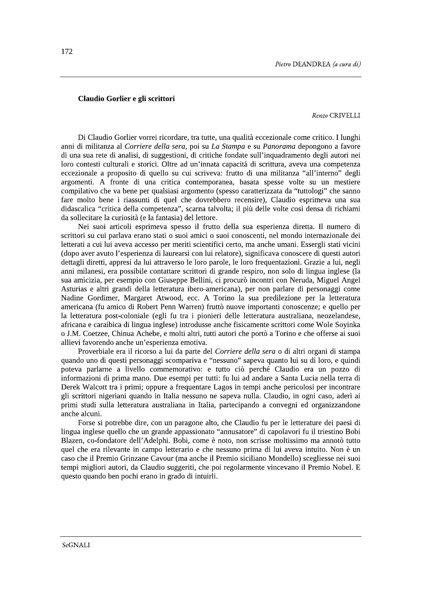Renzo CRIVELLI

**Claudio Gorlier e gli scrittori<br>
Di Claudio Gorlier vorrei ricordare, tra tutte, una<br>
di militanza al** *Corriere della sera***, poi su** *La St***<br>
na sua rete di analisi, di suggestioni, di critiche fa<br>
contesti culturali e sto** Di Claudio Gorlier vorrei ricordare, tra tutte, una qualità eccezionale come critico. I lunghi anni di militanza al Corriere della sera, poi su La Stampa e su Panorama depongono a favore di una sua rete di analisi, di suggestioni, di critiche fondate sull'inquadramento degli autori nei loro contesti culturali e storici. Oltre ad un'innata capacità di scrittura, aveva una competenza eccezionale a proposito di quello su cui scriveva: frutto di una militanza "all'interno" degli argomenti. A fronte di una critica contemporanea, basata spesse volte su un mestiere compilativo che va bene per qualsiasi argomento (spesso caratterizzata da "tuttologi" che sanno fare molto bene i riassunti di quel che dovrebbero recensire), Claudio esprimeva una sua didascalica "critica della competenza", scarna talvolta; il più delle volte così densa di richiami da sollecitare la curiosità (e la fantasia) del lettore.

Nei suoi articoli esprimeva spesso il frutto della sua esperienza diretta. Il numero di scrittori su cui parlava erano stati o suoi amici o suoi conoscenti, nel mondo internazionale dei letterati a cui lui aveva accesso per meriti scientifici certo, ma anche umani. Essergli stati vicini (dopo aver avuto l'esperienza di laurearsi con lui relatore), significava conoscere di questi autori dettagli diretti, appresi da lui attraverso le loro parole, le loro frequentazioni. Grazie a lui, negli anni milanesi, era possibile contattare scrittori di grande respiro, non solo di lingua inglese (la sua amicizia, per esempio con Giuseppe Bellini, ci procurò incontri con Neruda, Miguel Angel Asturias e altri grandi della letteratura ibero-americana), per non parlare di personaggi come Nadine Gordimer, Margaret Atwood, ecc. A Torino la sua predilezione per la letteratura americana (fu amico di Robert Penn Warren) fruttò nuove importanti conoscenze; e quello per la letteratura post-coloniale (egli fu tra i pionieri delle letteratura australiana, neozelandese, africana e caraibica di lingua inglese) introdusse anche fisicamente scrittori come Wole Soyinka o J.M. Coetzee, Chinua Achebe, e molti altri, tutti autori che portò a Torino e che offerse ai suoi allievi favorendo anche un'esperienza emotiva.

Proverbiale era il ricorso a lui da parte del Corriere della sera o di altri organi di stampa quando uno di questi personaggi scompariva e "nessuno" sapeva quanto lui su di loro, e quindi poteva parlarne a livello commemorativo: e tutto ciò perché Claudio era un pozzo di informazioni di prima mano. Due esempi per tutti: fu lui ad andare a Santa Lucia nella terra di Derek Walcott tra i primi; oppure a frequentare Lagos in tempi anche pericolosi per incontrare gli scrittori nigeriani quando in Italia nessuno ne sapeva nulla. Claudio, in ogni caso, aderì ai primi studi sulla letteratura australiana in Italia, partecipando a convegni ed organizzandone anche alcuni.

Forse si potrebbe dire, con un paragone alto, che Claudio fu per le letterature dei paesi di lingua inglese quello che un grande appassionato "annusatore" di capolavori fu il triestino Bobi Blazen, co-fondatore dell'Adelphi. Bobi, come è noto, non scrisse moltissimo ma annotò tutto quel che era rilevante in campo letterario e che nessuno prima di lui aveva intuito. Non è un caso che il Premio Grinzane Cavour (ma anche il Premio siciliano Mondello) scegliesse nei suoi tempi migliori autori, da Claudio suggeriti, che poi regolarmente vincevano il Premio Nobel. E questo quando ben pochi erano in grado di intuirli.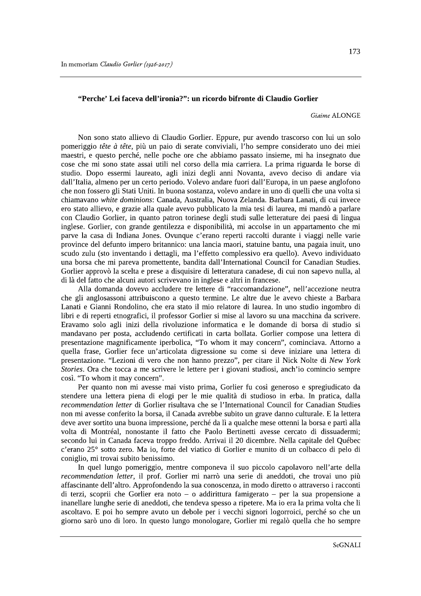## "Perche' Lei faceva dell'ironia?": un ricordo bifronte di Claudio Gorlier

#### Giaime ALONGE

Non sono stato allievo di Claudio Gorlier. Eppure, pur avendo trascorso con lui un solo pomeriggio tête à tête, più un paio di serate conviviali, l'ho sempre considerato uno dei miei maestri, e questo perché, nelle poche ore che abbiamo passato insieme, mi ha insegnato due cose che mi sono state assai utili nel corso della mia carriera. La prima riguarda le borse di studio. Dopo essermi laureato, agli inizi degli anni Novanta, avevo deciso di andare via dall'Italia, almeno per un certo periodo. Volevo andare fuori dall'Europa, in un paese anglofono che non fossero gli Stati Uniti. In buona sostanza, volevo andare in uno di quelli che una volta si chiamavano white dominions: Canada, Australia, Nuova Zelanda. Barbara Lanati, di cui invece ero stato allievo, e grazie alla quale avevo pubblicato la mia tesi di laurea, mi mandò a parlare con Claudio Gorlier, in quanto patron torinese degli studi sulle letterature dei paesi di lingua inglese. Gorlier, con grande gentilezza e disponibilità, mi accolse in un appartamento che mi parve la casa di Indiana Jones. Ovunque c'erano reperti raccolti durante i viaggi nelle varie province del defunto impero britannico: una lancia maori, statuine bantu, una pagaia inuit, uno scudo zulu (sto inventando i dettagli, ma l'effetto complessivo era quello). Avevo individuato una borsa che mi pareva promettente, bandita dall'International Council for Canadian Studies. Gorlier approvò la scelta e prese a disquisire di letteratura canadese, di cui non sapevo nulla, al di là del fatto che alcuni autori scrivevano in inglese e altri in francese.

Alla domanda dovevo accludere tre lettere di "raccomandazione", nell'accezione neutra che gli anglosassoni attribuiscono a questo termine. Le altre due le avevo chieste a Barbara Lanati e Gianni Rondolino, che era stato il mio relatore di laurea. In uno studio ingombro di libri e di reperti etnografici, il professor Gorlier si mise al lavoro su una macchina da scrivere. Eravamo solo agli inizi della rivoluzione informatica e le domande di borsa di studio si mandavano per posta, accludendo certificati in carta bollata. Gorlier compose una lettera di presentazione magnificamente iperbolica, "To whom it may concern", cominciava. Attorno a quella frase, Gorlier fece un'articolata digressione su come si deve iniziare una lettera di presentazione. "Lezioni di vero che non hanno prezzo", per citare il Nick Nolte di New York Stories. Ora che tocca a me scrivere le lettere per i giovani studiosi, anch'io comincio sempre così. "To whom it may concern".

Per quanto non mi avesse mai visto prima, Gorlier fu così generoso e spregiudicato da stendere una lettera piena di elogi per le mie qualità di studioso in erba. In pratica, dalla recommendation letter di Gorlier risultava che se l'International Council for Canadian Studies non mi avesse conferito la borsa, il Canada avrebbe subito un grave danno culturale. E la lettera deve aver sortito una buona impressione, perché da lì a qualche mese ottenni la borsa e partì alla volta di Montréal, nonostante il fatto che Paolo Bertinetti avesse cercato di dissuadermi; secondo lui in Canada faceva troppo freddo. Arrivai il 20 dicembre. Nella capitale del Québec c'erano 25° sotto zero. Ma io, forte del viatico di Gorlier e munito di un colbacco di pelo di coniglio, mi trovai subito benissimo.

In quel lungo pomeriggio, mentre componeva il suo piccolo capolavoro nell'arte della recommendation letter, il prof. Gorlier mi narrò una serie di aneddoti, che trovai uno più affascinante dell'altro. Approfondendo la sua conoscenza, in modo diretto o attraverso i racconti di terzi, scoprii che Gorlier era noto – o addirittura famigerato – per la sua propensione a inanellare lunghe serie di aneddoti, che tendeva spesso a ripetere. Ma io era la prima volta che li ascoltavo. E poi ho sempre avuto un debole per i vecchi signori logorroici, perché so che un giorno sarò uno di loro. In questo lungo monologare, Gorlier mi regalò quella che ho sempre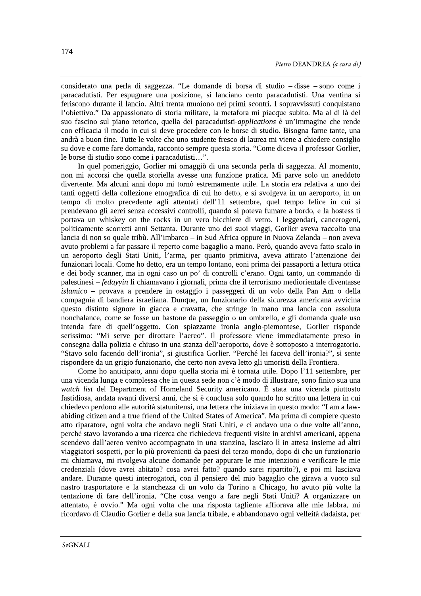considerato una perla di saggezza. "Le domande di borsa di studio – disse – sono come i paracadutisti. Per espugnare una posizione, si lanciano cento paracadutisti. Una ventina si feriscono durante il lancio. Altri trenta muoiono nei primi scontri. I sopravvissuti conquistano l'obiettivo." Da appassionato di storia militare, la metafora mi piacque subito. Ma al di là del suo fascino sul piano retorico, quella dei paracadutisti-*applications* è un'immagine che rende con efficacia il modo in cui si deve procedere con le borse di studio. Bisogna farne tante, una andrà a buon fine. Tutte le volte che uno studente fresco di laurea mi viene a chiedere consiglio su dove e come fare domanda, racconto sempre questa storia. "Come diceva il professor Gorlier, le borse di studio sono come i paracadutisti...".

In quel pomeriggio, Gorlier mi omaggiò di una seconda perla di saggezza. Al momento, non mi accorsi che quella storiella avesse una funzione pratica. Mi parve solo un aneddoto divertente. Ma alcuni anni dopo mi tornò estremamente utile. La storia era relativa a uno dei tanti oggetti della collezione etnografica di cui ho detto, e si svolgeva in un aeroporto, in un tempo di molto precedente agli attentati dell'11 settembre, quel tempo felice in cui si prendevano gli aerei senza eccessivi controlli, quando si poteva fumare a bordo, e la hostess ti portava un whiskey on the rocks in un vero bicchiere di vetro. I leggendari, cancerogeni, politicamente scorretti anni Settanta. Durante uno dei suoi viaggi, Gorlier aveva raccolto una lancia di non so quale tribù. All'imbarco – in Sud Africa oppure in Nuova Zelanda – non aveva avuto problemi a far passare il reperto come bagaglio a mano. Però, quando aveva fatto scalo in un aeroporto degli Stati Uniti, l'arma, per quanto primitiva, aveva attirato l'attenzione dei funzionari locali. Come ho detto, era un tempo lontano, eoni prima dei passaporti a lettura ottica e dei body scanner, ma in ogni caso un po' di controlli c'erano. Ogni tanto, un commando di palestinesi – fedavyin li chiamavano i giornali, prima che il terrorismo mediorientale diventasse islamico – provava a prendere in ostaggio i passeggeri di un volo della Pan Am o della compagnia di bandiera israeliana. Dunque, un funzionario della sicurezza americana avvicina questo distinto signore in giacca e cravatta, che stringe in mano una lancia con assoluta nonchalance, come se fosse un bastone da passeggio o un ombrello, e gli domanda quale uso intenda fare di quell'oggetto. Con spiazzante ironia anglo-piemontese, Gorlier risponde serissimo: "Mi serve per dirottare l'aereo". Il professore viene immediatamente preso in consegna dalla polizia e chiuso in una stanza dell'aeroporto, dove è sottoposto a interrogatorio. "Stavo solo facendo dell'ironia", si giustifica Gorlier. "Perché lei faceva dell'ironia?", si sente rispondere da un grigio funzionario, che certo non aveva letto gli umoristi della Frontiera.

Come ho anticipato, anni dopo quella storia mi è tornata utile. Dopo l'11 settembre, per una vicenda lunga e complessa che in questa sede non c'è modo di illustrare, sono finito sua una watch list del Department of Homeland Security americano. È stata una vicenda piuttosto fastidiosa, andata avanti diversi anni, che si è conclusa solo quando ho scritto una lettera in cui chiedevo perdono alle autorità statunitensi, una lettera che iniziava in questo modo: "I am a lawabiding citizen and a true friend of the United States of America". Ma prima di compiere questo atto riparatore, ogni volta che andavo negli Stati Uniti, e ci andavo una o due volte all'anno, perché stavo lavorando a una ricerca che richiedeva frequenti visite in archivi americani, appena scendevo dall'aereo venivo accompagnato in una stanzina, lasciato lì in attesa insieme ad altri viaggiatori sospetti, per lo più provenienti da paesi del terzo mondo, dopo di che un funzionario mi chiamava, mi rivolgeva alcune domande per appurare le mie intenzioni e verificare le mie credenziali (dove avrei abitato? cosa avrei fatto? quando sarei ripartito?), e poi mi lasciava andare. Durante questi interrogatori, con il pensiero del mio bagaglio che girava a vuoto sul nastro trasportatore e la stanchezza di un volo da Torino a Chicago, ho avuto più volte la tentazione di fare dell'ironia. "Che cosa vengo a fare negli Stati Uniti? A organizzare un attentato, è ovvio." Ma ogni volta che una risposta tagliente affiorava alle mie labbra, mi ricordavo di Claudio Gorlier e della sua lancia tribale, e abbandonavo ogni velleità dadaista, per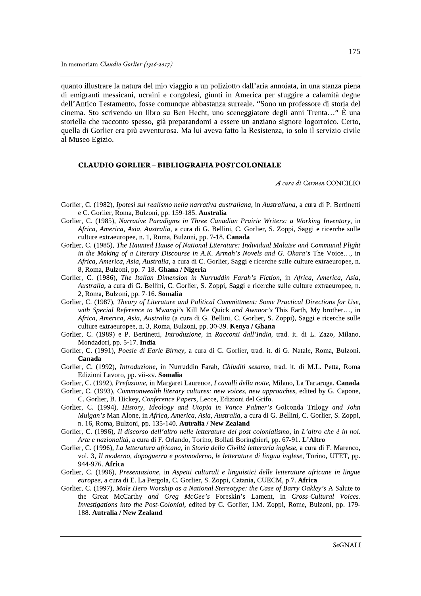quanto illustrare la natura del mio viaggio a un poliziotto dall'aria annoiata, in una stanza piena di emigranti messicani, ucraini e congolesi, giunti in America per sfuggire a calamità degne dell'Antico Testamento, fosse comunque abbastanza surreale. "Sono un professore di storia del cinema. Sto scrivendo un libro su Ben Hecht, uno sceneggiatore degli anni Trenta..." È una storiella che racconto spesso, già preparandomi a essere un anziano signore logorroico. Certo, quella di Gorlier era più avventurosa. Ma lui aveva fatto la Resistenza, io solo il servizio civile al Museo Egizio.

#### **CLAUDIO GORLIER - BIBLIOGRAFIA POSTCOLONIALE**

A cura di Carmen CONCILIO

- Gorlier, C. (1982), Ipotesi sul realismo nella narrativa australiana, in Australiana, a cura di P. Bertinetti e C. Gorlier, Roma, Bulzoni, pp. 159-185. Australia
- Gorlier, C. (1985), Narrative Paradigms in Three Canadian Prairie Writers: a Working Inventory, in Africa, America, Asia, Australia, a cura di G. Bellini, C. Gorlier, S. Zoppi, Saggi e ricerche sulle culture extraeuropee, n. 1, Roma, Bulzoni, pp. 7-18. Canada
- Gorlier, C. (1985), The Haunted Hause of National Literature: Individual Malaise and Communal Plight in the Making of a Literary Discourse in A.K. Armah's Novels and G. Okara's The Voice..., in Africa, America, Asia, Australia, a cura di C. Gorlier, Saggi e ricerche sulle culture extraeuropee, n. 8, Roma, Bulzoni, pp. 7-18. Ghana / Nigeria
- Gorlier, C. (1986), The Italian Dimension in Nurruddin Farah's Fiction, in Africa, America, Asia, Australia, a cura di G. Bellini, C. Gorlier, S. Zoppi, Saggi e ricerche sulle culture extraeuropee, n. 2, Roma, Bulzoni, pp. 7-16. Somalia
- Gorlier, C. (1987), Theory of Literature and Political Committment: Some Practical Directions for Use, with Special Reference to Mwanai's Kill Me Ouick and Awnoor's This Earth, My brother..., in Africa, America, Asia, Australia (a cura di G. Bellini, C. Gorlier, S. Zoppi), Saggi e ricerche sulle culture extraeuropee, n. 3, Roma, Bulzoni, pp. 30-39. Kenya / Ghana
- Gorlier, C. (1989) e P. Bertinetti, Introduzione, in Racconti dall'India, trad. it. di L. Zazo, Milano, Mondadori, pp. 5-17. India
- Gorlier, C. (1991), Poesie di Earle Birney, a cura di C. Gorlier, trad. it. di G. Natale, Roma, Bulzoni. **Canada**
- Gorlier, C. (1992), Introduzione, in Nurruddin Farah, Chiuditi sesamo, trad. it. di M.L. Petta, Roma Edizioni Lavoro, pp. vii-xv. Somalia
- Gorlier, C. (1992), Prefazione, in Margaret Laurence, I cavalli della notte, Milano, La Tartaruga. Canada
- Gorlier, C. (1993), Commonwealth literary cultures: new voices, new approaches, edited by G. Capone, C. Gorlier, B. Hickey, Conference Papers, Lecce, Edizioni del Grifo.
- Gorlier, C. (1994), History, Ideology and Utopia in Vance Palmer's Golconda Trilogy and John Mulgan's Man Alone, in Africa, America, Asia, Australia, a cura di G. Bellini, C. Gorlier, S. Zoppi, n. 16, Roma, Bulzoni, pp. 135-140. Autralia / New Zealand
- Gorlier, C. (1996), Il discorso dell'altro nelle letterature del post-colonialismo, in L'altro che è in noi. Arte e nazionalità, a cura di F. Orlando, Torino, Bollati Boringhieri, pp. 67-91. L'Altro
- Gorlier, C. (1996), La letteratura africana, in Storia della Civiltà letteraria inglese, a cura di F. Marenco, vol. 3, Il moderno, dopoguerra e postmoderno, le letterature di lingua inglese, Torino, UTET, pp. 944-976. Africa
- Gorlier, C. (1996), Presentazione, in Aspetti culturali e linguistici delle letterature africane in lingue europee, a cura di E. La Pergola, C. Gorlier, S. Zoppi, Catania, CUECM, p.7. Africa
- Gorlier, C. (1997), Male Hero-Worship as a National Stereotype: the Case of Barry Oakley's A Salute to the Great McCarthy and Greg McGee's Foreskin's Lament, in Cross-Cultural Voices. Investigations into the Post-Colonial, edited by C. Gorlier, I.M. Zoppi, Rome, Bulzoni, pp. 179-188. Autralia / New Zealand